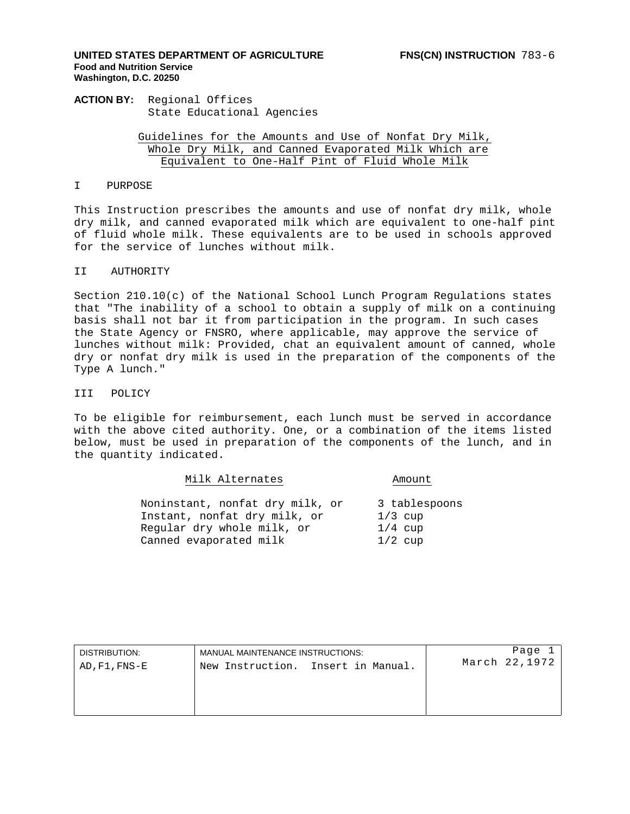# **UNITED STATES DEPARTMENT OF AGRICULTURE FNS(CN) INSTRUCTION** 783-6 **Food and Nutrition Service Washington, D.C. 20250**

**ACTION BY:** Regional Offices State Educational Agencies

> Guidelines for the Amounts and Use of Nonfat Dry Milk, Whole Dry Milk, and Canned Evaporated Milk Which are Equivalent to One-Half Pint of Fluid Whole Milk

# I PURPOSE

This Instruction prescribes the amounts and use of nonfat dry milk, whole dry milk, and canned evaporated milk which are equivalent to one-half pint of fluid whole milk. These equivalents are to be used in schools approved for the service of lunches without milk.

# II AUTHORITY

Section 210.10(c) of the National School Lunch Program Regulations states that "The inability of a school to obtain a supply of milk on a continuing basis shall not bar it from participation in the program. In such cases the State Agency or FNSRO, where applicable, may approve the service of lunches without milk: Provided, chat an equivalent amount of canned, whole dry or nonfat dry milk is used in the preparation of the components of the Type A lunch."

# III POLICY

To be eligible for reimbursement, each lunch must be served in accordance with the above cited authority. One, or a combination of the items listed below, must be used in preparation of the components of the lunch, and in the quantity indicated.

| Milk Alternates                 | Amount        |
|---------------------------------|---------------|
| Noninstant, nonfat dry milk, or | 3 tablespoons |
| Instant, nonfat dry milk, or    | $1/3$ cup     |
| Reqular dry whole milk, or      | $1/4$ cup     |
| Canned evaporated milk          | $1/2$ cup     |

| DISTRIBUTION: | MANUAL MAINTENANCE INSTRUCTIONS:   | Page          |
|---------------|------------------------------------|---------------|
| AD, F1, FNS-E | New Instruction. Insert in Manual. | March 22,1972 |
|               |                                    |               |
|               |                                    |               |
|               |                                    |               |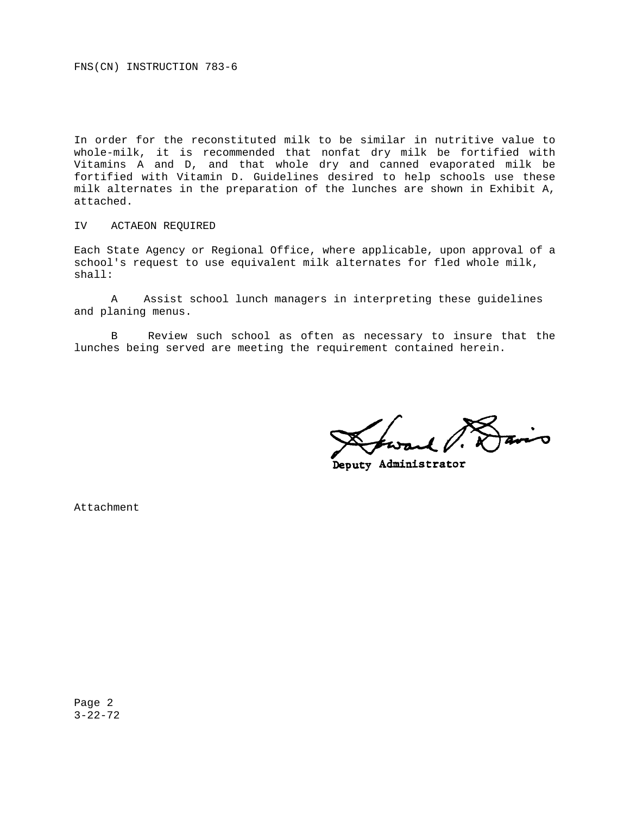FNS(CN) INSTRUCTION 783-6

In order for the reconstituted milk to be similar in nutritive value to whole-milk, it is recommended that nonfat dry milk be fortified with Vitamins A and D, and that whole dry and canned evaporated milk be fortified with Vitamin D. Guidelines desired to help schools use these milk alternates in the preparation of the lunches are shown in Exhibit A, attached.

# IV ACTAEON REQUIRED

Each State Agency or Regional Office, where applicable, upon approval of a school's request to use equivalent milk alternates for fled whole milk, shall:

A Assist school lunch managers in interpreting these guidelines and planing menus.

B Review such school as often as necessary to insure that the lunches being served are meeting the requirement contained herein.

**Deputy Administrator** 

Attachment

Page 2 3-22-72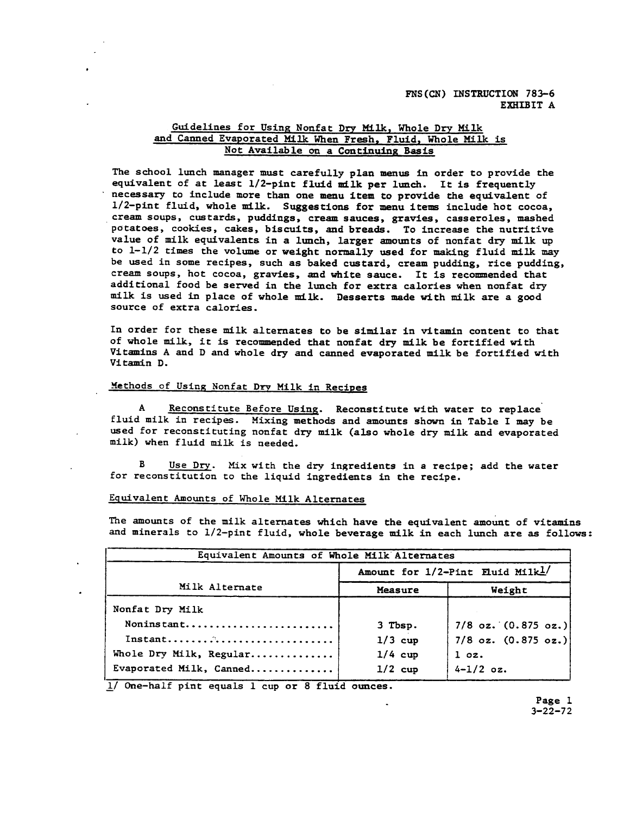# FNS(CN) INSTRUCTION 783-6 EXHIBIT A

# Guidelines for Using Nonfat Dry Milk, Whole Dry Milk and Canned Evaporated Milk When Fresh, Fluid, Whole Milk is Not Available on a Continuing Basis

The school lunch manager must carefully plan menus in order to provide the equivalent of at least 1/2-pint fluid milk per lunch. It is frequently necessary to include more than one menu item to provide the equivalent of 1/2-pint fluid, whole milk. Suggestions for menu items include hot cocoa, cream soups, custards, puddings, cream sauces, gravies, casseroles, mashed potatoes, cookies, cakes, biscuits, and breads. To increase the nutritive value of milk equivalents in a lunch, larger amounts of nonfat dry milk up to 1-1/2 times the volume or weight normally used for making fluid milk may be used in some recipes, such as baked custard, cream pudding, rice pudding, cream soups, hot cocoa, gravies, and white sauce. It is recommended that additional food be served in the lunch for extra calories when nonfat dry milk is used in place of whole milk. Desserts made with milk are a good source of extra calories.

In order for these milk alternates to be similar in vitamin content to that of whole milk, it is recommended that nonfat dry milk be fortified with Vitamins A and D and whole dry and canned evaporated milk be fortified with Vitamin D.

# Methods of Using Nonfat Dry Milk in Recipes

A Reconstitute Before Using. Reconstitute with water to replace fluid milk in recipes. Mixing methods and amounts shown in Table I may be used for reconstituting nonfat dry milk (also whole dry milk and evaporated milk) when fluid milk is needed.

 $\mathbf{B}$ Use Dry. Mix with the dry ingredients in a recipe; add the water for reconstitution to the liquid ingredients in the recipe.

# Equivalent Amounts of Whole Milk Alternates

The amounts of the milk alternates which have the equivalent amount of vitamins and minerals to 1/2-pint fluid, whole beverage milk in each lunch are as follows:

| Equivalent Amounts of Whole Milk Alternates |           |                                  |
|---------------------------------------------|-----------|----------------------------------|
|                                             |           | Amount for 1/2-Pint Eluid Milk1/ |
| Milk Alternate                              | Measure   | Weight                           |
| Nonfat Dry Milk                             |           |                                  |
| Noninstant                                  | 3 Tbsp.   | $7/8$ oz. $(0.875$ oz.)          |
|                                             | $1/3$ cup | $7/8$ oz. $(0.875$ oz.)          |
| Whole Dry Milk, Regular                     | $1/4$ cup | $1$ oz.                          |
| Evaporated Milk, Canned                     | $1/2$ cup | $4 - 1/2$ oz.                    |

1/ One-half pint equals 1 cup or 8 fluid ounces.

Page 1  $3 - 22 - 72$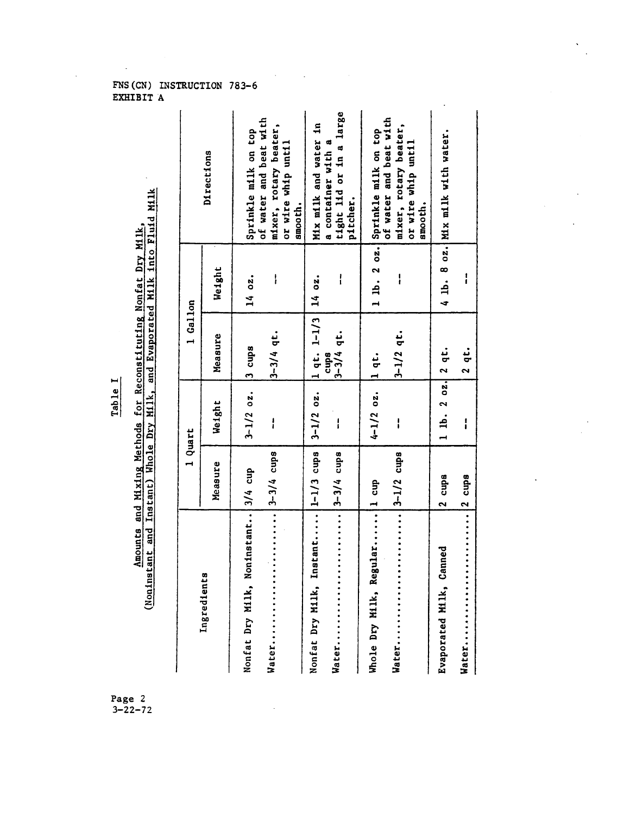# Table I

# Amounts and Mixing Methods for Reconstituting Nonfat Dry Milk,

|                                        | - 11111 11111<br>1111111 |  |
|----------------------------------------|--------------------------|--|
| $\overline{\phantom{iiiiiiiiiiiiiii}}$ |                          |  |
|                                        | j                        |  |
|                                        |                          |  |
|                                        |                          |  |
|                                        | i<br>Ī                   |  |
|                                        |                          |  |
|                                        |                          |  |
|                                        | į                        |  |
|                                        | <b>A</b><br>5<br>5<br>5  |  |
|                                        | こくらい                     |  |
| <br> <br>                              |                          |  |
|                                        |                          |  |

|                                       | 1 Quart                                      |                      | 1 Gallon                       |        |                                                                                  |
|---------------------------------------|----------------------------------------------|----------------------|--------------------------------|--------|----------------------------------------------------------------------------------|
| Ingredients                           | Measure                                      | Weight               | Measure                        | Weight | Directions                                                                       |
| Nonfat Dry Milk, Noninstant   3/4 cup |                                              | $3-1/2$ oz.          | 13 cups                        | 14 oz. | Sprinkle milk on top                                                             |
| Water                                 | $\cdots$ $\cdots$ $\cdots$ $\cdots$          | $\mathbf{I}$         | $3 - 3/4$ qt.                  | l      | of water and beat with<br>mixer, rotary beater,<br>or wire whip until<br>smooth. |
| Nonfat Dry Milk, In                   | stant 1-1/3 cups                             |                      | $3-1/2$ oz. 1 qt. 1-1/3 14 oz. |        | Mix milk and water in                                                            |
| Water                                 | $\cdots$ $\cdots$ $\cdots$ $\cdots$          | ļ                    | $3 - 3/4$ qt.<br>cups          | I      | tight lid or in a large<br>a container with a<br>pitcher.                        |
| Whole Dry Milk, Regular 1 cup         |                                              | 4-1/2 oz. 11 qt.     |                                |        | 1 lb. 2 oz. Sprinkle milk on top                                                 |
| Water                                 | $\cdots$ $\cdots$ $\cdots$ $\cdots$ $\cdots$ | ļ                    | $3 - 1/2$ qt.                  | ļ      | of water and beat with<br>mixer, rotary beater,                                  |
|                                       |                                              |                      |                                |        | or wire whip until<br>smooth.                                                    |
| anned<br>Evaporated Milk, Ca          | 2 cupa                                       | 1 lb. 2 $0z$ , 2 qt. |                                |        | 4 1b. 8 oz. Mix milk with water.                                                 |
| Water                                 | $\ldots$ 12 cups                             | $\mathbf{I}$         | 2 qt.                          | i      |                                                                                  |

# FNS (CN) INSTRUCTION 783-6<br>EXHIBIT A

 $\bar{\phantom{a}}$ 

 $\bar{z}$ 

Page 2<br>3-22-72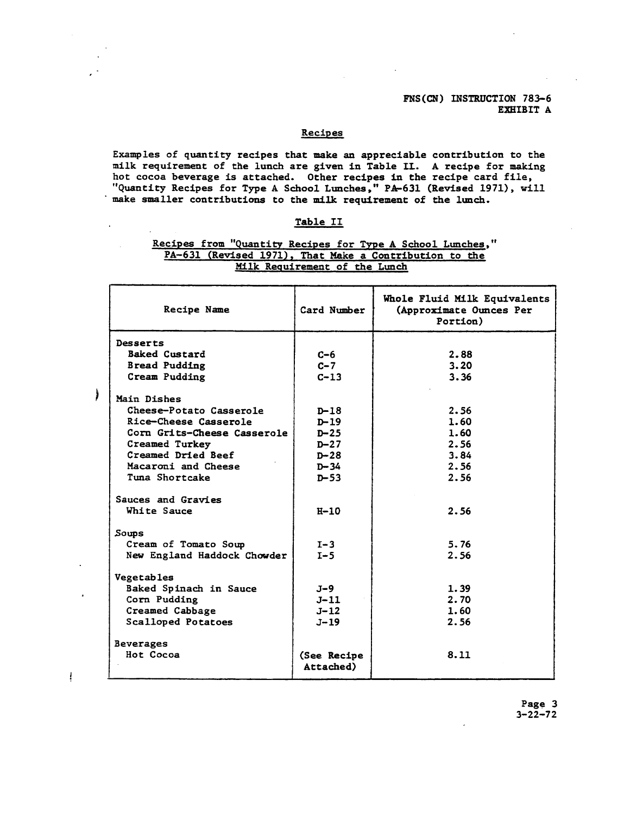FNS(CN) INSTRUCTION 783-6 **EXHIBIT A** 

# Recipes

Examples of quantity recipes that make an appreciable contribution to the milk requirement of the lunch are given in Table II. A recipe for making hot cocoa beverage is attached. Other recipes in the recipe card file, "Quantity Recipes for Type A School Lunches," PA-631 (Revised 1971), will make smaller contributions to the milk requirement of the lunch.

# Table II

 $\hat{\mathbf{r}}$ 

J

 $\ddagger$ 

# Recipes from "Quantity Recipes for Type A School Lunches," PA-631 (Revised 1971), That Make a Contribution to the<br>Milk Requirement of the Lunch

| Card Number              | Whole Fluid Milk Equivalents<br>(Approximate Ounces Per<br>Portion) |
|--------------------------|---------------------------------------------------------------------|
|                          |                                                                     |
| $C-6$                    | 2.88                                                                |
| $C - 7$                  | 3.20                                                                |
| $C - 13$                 | 3.36                                                                |
|                          |                                                                     |
| $D-18$                   | 2.56                                                                |
| $D - 19$                 | 1.60                                                                |
| $D-25$                   | 1.60                                                                |
| $D-27$                   | 2.56                                                                |
| $D - 28$                 | 3.84                                                                |
| $D - 34$                 | 2.56                                                                |
| $D - 53$                 | 2.56                                                                |
|                          |                                                                     |
| $H - 10$                 | 2.56                                                                |
|                          |                                                                     |
| $I-3$                    | 5.76                                                                |
| $I-5$                    | 2.56                                                                |
|                          |                                                                     |
| $J-9$                    | 1.39                                                                |
| $J-11$                   | 2.70                                                                |
| $J - 12$                 | 1.60                                                                |
| $J - 19$                 | 2.56                                                                |
|                          |                                                                     |
| (See Recipe<br>Attached) | 8.11                                                                |
|                          |                                                                     |

Page 3  $3 - 22 - 72$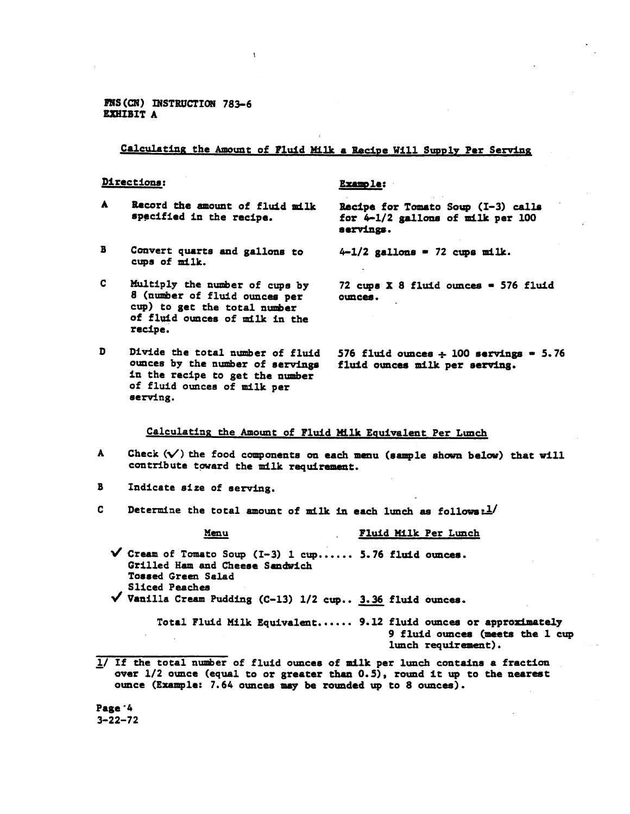FNS (CN) INSTRUCTION 783-6 EXHIBIT A

Calculating the Amount of Fluid Milk a Recipe Will Supply Per Serving

**Example:** 

## Directions:

- $\blacktriangle$ Record the amount of fluid milk specified in the recipe.
- $\mathbf{B}$ Convert quarts and gallons to cups of milk.
- $\mathbf{C}$ Multiply the number of cups by 8 (number of fluid ounces per cup) to get the total number of fluid ounces of milk in the recipe.
- D Divide the total number of fluid ounces by the number of servings in the recipe to get the number of fluid ounces of milk per serving.

Recipe for Tomato Soup (I-3) calls for  $4-1/2$  gallons of milk per 100 servings.

 $4-1/2$  gallons = 72 cups milk.

72 cups  $X$  8 fluid ounces = 576 fluid ounces.

576 fluid ounces  $\div$  100 servings = 5.76 fluid ounces milk per serving.

Calculating the Amount of Fluid Milk Equivalent Per Lunch

- A Check  $(\sqrt{\ } )$  the food components on each menu (sample shown below) that will contribute toward the milk requirement.
- $\mathbf{B}$ Indicate size of serving.
- $\mathbf{C}$ Determine the total amount of milk in each lunch as follows: $\frac{1}{2}$

Menu

### Fluid Milk Per Lunch

 $\checkmark$  Cream of Tomato Soup (I-3) 1 cup...... 5.76 fluid ounces. Grilled Ham and Cheese Sandwich Tossed Green Salad Sliced Peaches  $\checkmark$  Vanilla Cream Pudding (C-13) 1/2 cup.. 3.36 fluid ounces.

> Total Fluid Milk Equivalent...... 9.12 fluid ounces or approximately 9 fluid ounces (meets the 1 cup lunch requirement).

1/ If the total number of fluid ounces of milk per lunch contains a fraction over 1/2 ounce (equal to or greater than 0.5), round it up to the nearest ounce (Example: 7.64 ounces may be rounded up to 8 ounces).

Page '4  $3 - 22 - 72$